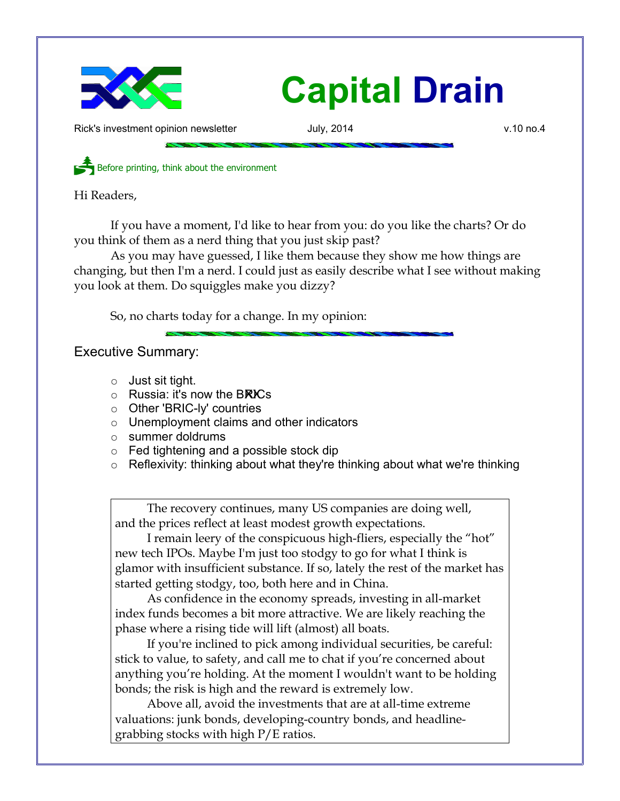

## **Capital Drain**

Rick's investment opinion newsletter and July, 2014 v.10 no.4

Before printing, think about the environment

Hi Readers,

If you have a moment, I'd like to hear from you: do you like the charts? Or do you think of them as a nerd thing that you just skip past?

As you may have guessed, I like them because they show me how things are changing, but then I'm a nerd. I could just as easily describe what I see without making you look at them. Do squiggles make you dizzy?

So, no charts today for a change. In my opinion:

Executive Summary:

- Just sit tight.
- $\circ$  Russia: it's now the BRICs
- Other 'BRIC-ly' countries
- Unemployment claims and other indicators
- summer doldrums
- Fed tightening and a possible stock dip
- Reflexivity: thinking about what they're thinking about what we're thinking

The recovery continues, many US companies are doing well, and the prices reflect at least modest growth expectations.

I remain leery of the conspicuous high-fliers, especially the "hot" new tech IPOs. Maybe I'm just too stodgy to go for what I think is glamor with insufficient substance. If so, lately the rest of the market has started getting stodgy, too, both here and in China.

As confidence in the economy spreads, investing in all-market index funds becomes a bit more attractive. We are likely reaching the phase where a rising tide will lift (almost) all boats.

If you're inclined to pick among individual securities, be careful: stick to value, to safety, and call me to chat if you're concerned about anything you're holding. At the moment I wouldn't want to be holding bonds; the risk is high and the reward is extremely low.

Above all, avoid the investments that are at all-time extreme valuations: junk bonds, developing-country bonds, and headlinegrabbing stocks with high P/E ratios.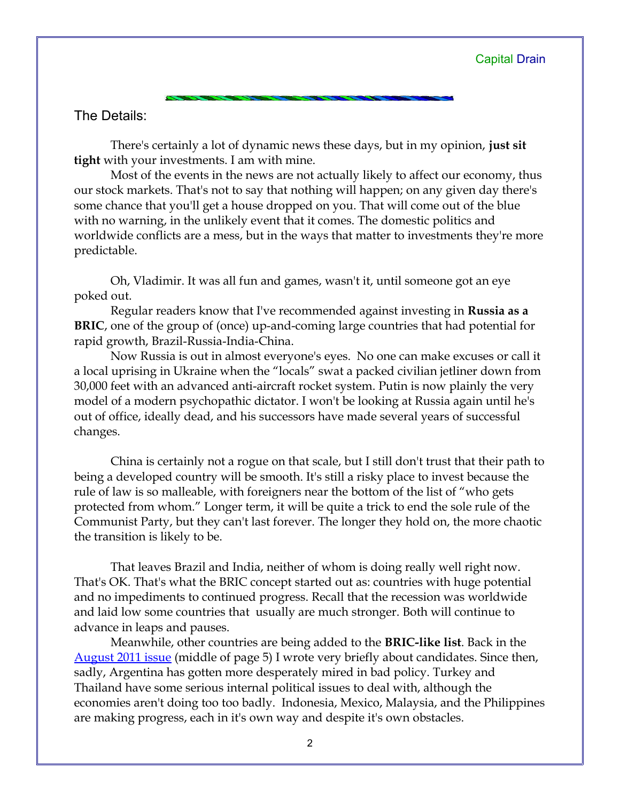## The Details:

There's certainly a lot of dynamic news these days, but in my opinion, **just sit tight** with your investments. I am with mine.

Most of the events in the news are not actually likely to affect our economy, thus our stock markets. That's not to say that nothing will happen; on any given day there's some chance that you'll get a house dropped on you. That will come out of the blue with no warning, in the unlikely event that it comes. The domestic politics and worldwide conflicts are a mess, but in the ways that matter to investments they're more predictable.

Oh, Vladimir. It was all fun and games, wasn't it, until someone got an eye poked out.

Regular readers know that I've recommended against investing in **Russia as a BRIC**, one of the group of (once) up-and-coming large countries that had potential for rapid growth, Brazil-Russia-India-China.

Now Russia is out in almost everyone's eyes. No one can make excuses or call it a local uprising in Ukraine when the "locals" swat a packed civilian jetliner down from 30,000 feet with an advanced anti-aircraft rocket system. Putin is now plainly the very model of a modern psychopathic dictator. I won't be looking at Russia again until he's out of office, ideally dead, and his successors have made several years of successful changes.

China is certainly not a rogue on that scale, but I still don't trust that their path to being a developed country will be smooth. It's still a risky place to invest because the rule of law is so malleable, with foreigners near the bottom of the list of "who gets protected from whom." Longer term, it will be quite a trick to end the sole rule of the Communist Party, but they can't last forever. The longer they hold on, the more chaotic the transition is likely to be.

That leaves Brazil and India, neither of whom is doing really well right now. That's OK. That's what the BRIC concept started out as: countries with huge potential and no impediments to continued progress. Recall that the recession was worldwide and laid low some countries that usually are much stronger. Both will continue to advance in leaps and pauses.

Meanwhile, other countries are being added to the **BRIC-like list**. Back in the [August 2011 issue](http://www.longspliceinvest.com/CapDrain/CapDrain_v7n3.pdf) (middle of page 5) I wrote very briefly about candidates. Since then, sadly, Argentina has gotten more desperately mired in bad policy. Turkey and Thailand have some serious internal political issues to deal with, although the economies aren't doing too too badly. Indonesia, Mexico, Malaysia, and the Philippines are making progress, each in it's own way and despite it's own obstacles.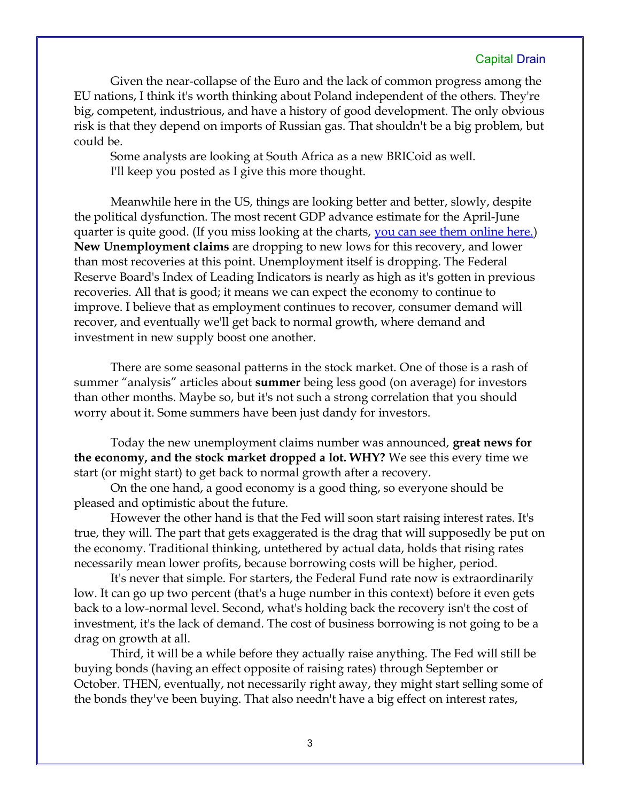## Capital Drain

Given the near-collapse of the Euro and the lack of common progress among the EU nations, I think it's worth thinking about Poland independent of the others. They're big, competent, industrious, and have a history of good development. The only obvious risk is that they depend on imports of Russian gas. That shouldn't be a big problem, but could be.

Some analysts are looking at South Africa as a new BRICoid as well. I'll keep you posted as I give this more thought.

Meanwhile here in the US, things are looking better and better, slowly, despite the political dysfunction. The most recent GDP advance estimate for the April-June quarter is quite good. (If you miss looking at the charts, <u>you can see them online here.</u>) **New Unemployment claims** are dropping to new lows for this recovery, and lower than most recoveries at this point. Unemployment itself is dropping. The Federal Reserve Board's Index of Leading Indicators is nearly as high as it's gotten in previous recoveries. All that is good; it means we can expect the economy to continue to improve. I believe that as employment continues to recover, consumer demand will recover, and eventually we'll get back to normal growth, where demand and investment in new supply boost one another.

There are some seasonal patterns in the stock market. One of those is a rash of summer "analysis" articles about **summer** being less good (on average) for investors than other months. Maybe so, but it's not such a strong correlation that you should worry about it. Some summers have been just dandy for investors.

Today the new unemployment claims number was announced, **great news for the economy, and the stock market dropped a lot. WHY?** We see this every time we start (or might start) to get back to normal growth after a recovery.

On the one hand, a good economy is a good thing, so everyone should be pleased and optimistic about the future.

However the other hand is that the Fed will soon start raising interest rates. It's true, they will. The part that gets exaggerated is the drag that will supposedly be put on the economy. Traditional thinking, untethered by actual data, holds that rising rates necessarily mean lower profits, because borrowing costs will be higher, period.

It's never that simple. For starters, the Federal Fund rate now is extraordinarily low. It can go up two percent (that's a huge number in this context) before it even gets back to a low-normal level. Second, what's holding back the recovery isn't the cost of investment, it's the lack of demand. The cost of business borrowing is not going to be a drag on growth at all.

Third, it will be a while before they actually raise anything. The Fed will still be buying bonds (having an effect opposite of raising rates) through September or October. THEN, eventually, not necessarily right away, they might start selling some of the bonds they've been buying. That also needn't have a big effect on interest rates,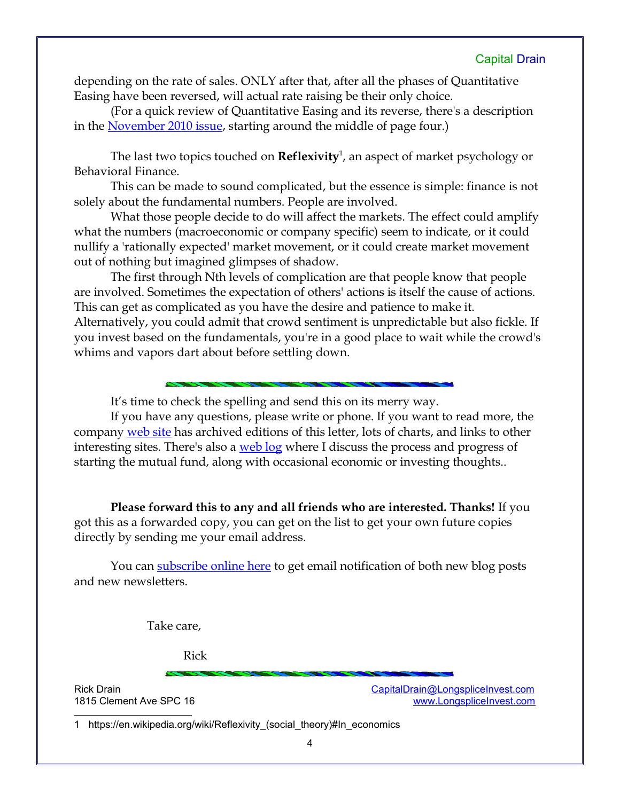depending on the rate of sales. ONLY after that, after all the phases of Quantitative Easing have been reversed, will actual rate raising be their only choice.

(For a quick review of Quantitative Easing and its reverse, there's a description in the <u>November 2010 issue</u>, starting around the middle of page four.)

The last two topics touched on **Reflexivity**[1](#page-3-0) , an aspect of market psychology or Behavioral Finance.

This can be made to sound complicated, but the essence is simple: finance is not solely about the fundamental numbers. People are involved.

What those people decide to do will affect the markets. The effect could amplify what the numbers (macroeconomic or company specific) seem to indicate, or it could nullify a 'rationally expected' market movement, or it could create market movement out of nothing but imagined glimpses of shadow.

The first through Nth levels of complication are that people know that people are involved. Sometimes the expectation of others' actions is itself the cause of actions. This can get as complicated as you have the desire and patience to make it. Alternatively, you could admit that crowd sentiment is unpredictable but also fickle. If you invest based on the fundamentals, you're in a good place to wait while the crowd's whims and vapors dart about before settling down.

It's time to check the spelling and send this on its merry way.

If you have any questions, please write or phone. If you want to read more, the company [web site](http://www.LongspliceInvest.com/newsletter.shtml) has archived editions of this letter, lots of charts, and links to other interesting sites. There's also a [web log](http://www.LongspliceInvestments.com/ricksblog) where I discuss the process and progress of starting the mutual fund, along with occasional economic or investing thoughts..

**Please forward this to any and all friends who are interested. Thanks!** If you got this as a forwarded copy, you can get on the list to get your own future copies directly by sending me your email address.

You can **subscribe online here** to get email notification of both new blog posts and new newsletters.

Take care,

Rick

Rick Drain CapitalDrain CapitalDrain CapitalDrain CapitalDrain CapitalDrain Congress of the Capital Drain CapitalDrain Congress of the Capital Drain Capital Drain Capital Drain Capital Drain Capital Drain Capital Drain Cap 1815 Clement Ave SPC 16 and the state of the state of the state of the [www.LongspliceInvest.com](http://www.LongspliceInvest.com/)

<span id="page-3-0"></span>1 https://en.wikipedia.org/wiki/Reflexivity\_(social\_theory)#In\_economics